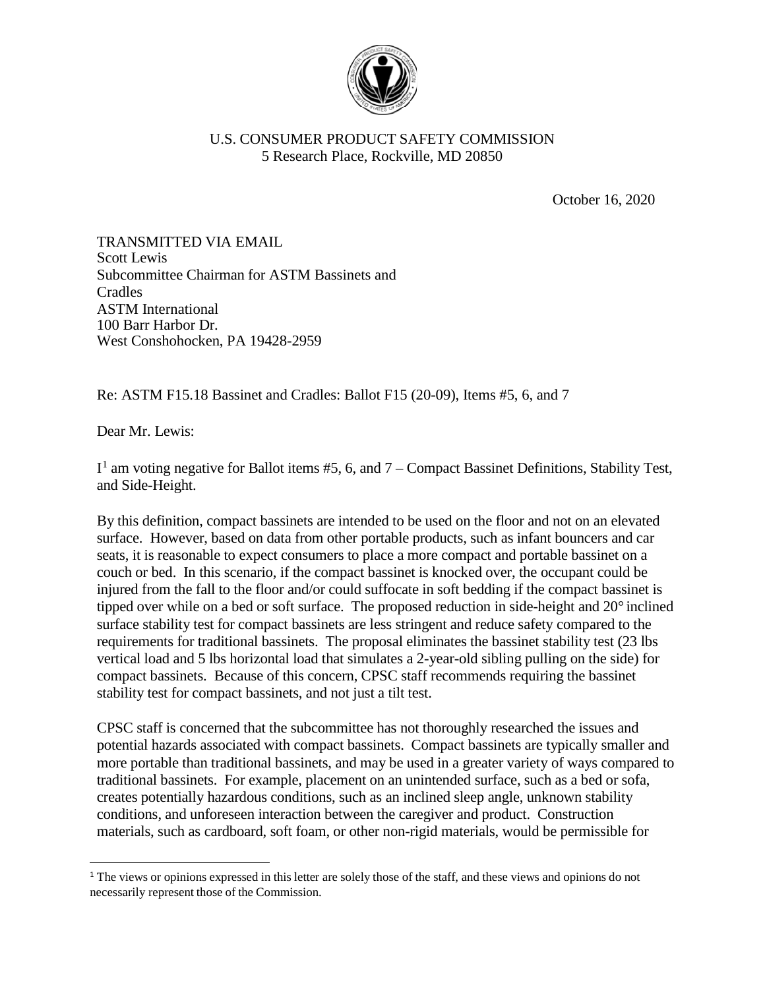

## U.S. CONSUMER PRODUCT SAFETY COMMISSION 5 Research Place, Rockville, MD 20850

October 16, 2020

TRANSMITTED VIA EMAIL Scott Lewis Subcommittee Chairman for ASTM Bassinets and Cradles ASTM International 100 Barr Harbor Dr. West Conshohocken, PA 19428-2959

Re: ASTM F15.18 Bassinet and Cradles: Ballot F15 (20-09), Items #5, 6, and 7

Dear Mr. Lewis:

 $I<sup>1</sup>$  $I<sup>1</sup>$  $I<sup>1</sup>$  am voting negative for Ballot items #5, 6, and 7 – Compact Bassinet Definitions, Stability Test, and Side-Height.

By this definition, compact bassinets are intended to be used on the floor and not on an elevated surface. However, based on data from other portable products, such as infant bouncers and car seats, it is reasonable to expect consumers to place a more compact and portable bassinet on a couch or bed. In this scenario, if the compact bassinet is knocked over, the occupant could be injured from the fall to the floor and/or could suffocate in soft bedding if the compact bassinet is tipped over while on a bed or soft surface. The proposed reduction in side-height and 20° inclined surface stability test for compact bassinets are less stringent and reduce safety compared to the requirements for traditional bassinets. The proposal eliminates the bassinet stability test (23 lbs vertical load and 5 lbs horizontal load that simulates a 2-year-old sibling pulling on the side) for compact bassinets. Because of this concern, CPSC staff recommends requiring the bassinet stability test for compact bassinets, and not just a tilt test.

CPSC staff is concerned that the subcommittee has not thoroughly researched the issues and potential hazards associated with compact bassinets. Compact bassinets are typically smaller and more portable than traditional bassinets, and may be used in a greater variety of ways compared to traditional bassinets. For example, placement on an unintended surface, such as a bed or sofa, creates potentially hazardous conditions, such as an inclined sleep angle, unknown stability conditions, and unforeseen interaction between the caregiver and product. Construction materials, such as cardboard, soft foam, or other non-rigid materials, would be permissible for

<span id="page-0-0"></span> <sup>1</sup> The views or opinions expressed in this letter are solely those of the staff, and these views and opinions do not necessarily represent those of the Commission.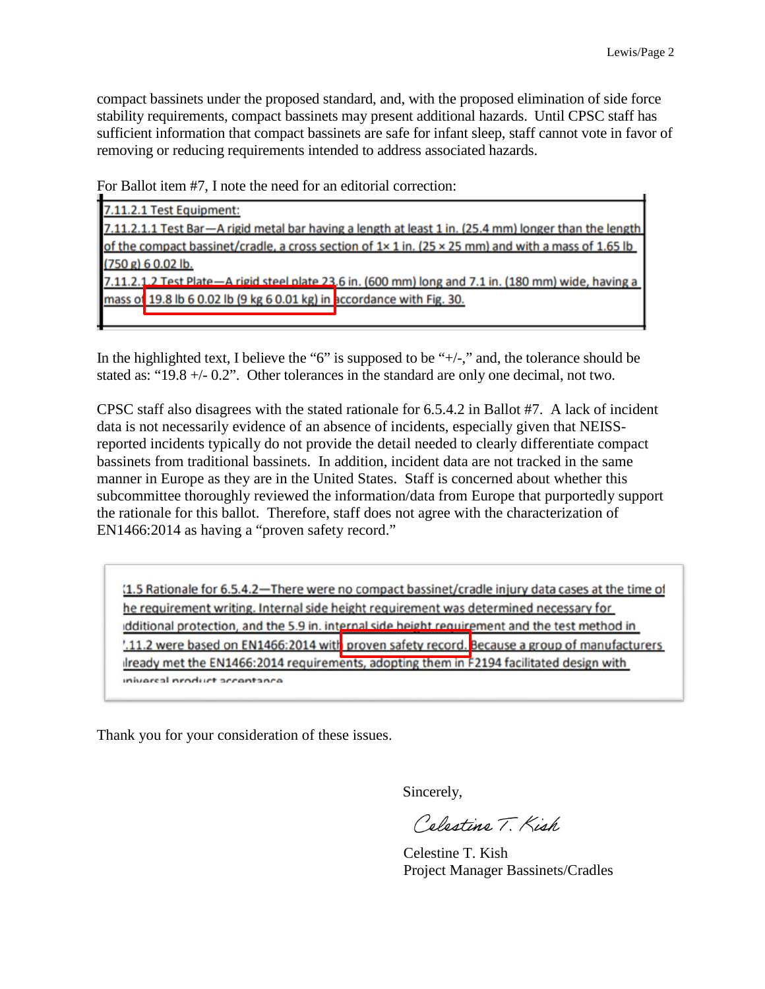compact bassinets under the proposed standard, and, with the proposed elimination of side force stability requirements, compact bassinets may present additional hazards. Until CPSC staff has sufficient information that compact bassinets are safe for infant sleep, staff cannot vote in favor of removing or reducing requirements intended to address associated hazards.

For Ballot item #7, I note the need for an editorial correction:

7.11.2.1 Test Equipment:

7.11.2.1.1 Test Bar—A rigid metal bar having a length at least 1 in. (25.4 mm) longer than the length of the compact bassinet/cradle, a cross section of  $1 \times 1$  in. (25  $\times$  25 mm) and with a mass of 1.65 lb  $(750 g) 6 0.02 lb.$ 

7.11.2.1.2 Test Plate—A rigid steel plate 23.6 in. (600 mm) long and 7.1 in. (180 mm) wide, having a mass of 19.8 lb 6 0.02 lb (9 kg 6 0.01 kg) in accordance with Fig. 30.

In the highlighted text, I believe the "6" is supposed to be " $+/-$ ," and, the tolerance should be stated as: "19.8 +/- 0.2". Other tolerances in the standard are only one decimal, not two.

CPSC staff also disagrees with the stated rationale for 6.5.4.2 in Ballot #7. A lack of incident data is not necessarily evidence of an absence of incidents, especially given that NEISSreported incidents typically do not provide the detail needed to clearly differentiate compact bassinets from traditional bassinets. In addition, incident data are not tracked in the same manner in Europe as they are in the United States. Staff is concerned about whether this subcommittee thoroughly reviewed the information/data from Europe that purportedly support the rationale for this ballot. Therefore, staff does not agree with the characterization of EN1466:2014 as having a "proven safety record."

(1.5 Rationale for 6.5.4.2-There were no compact bassinet/cradle injury data cases at the time of he requirement writing. Internal side height requirement was determined necessary for idditional protection, and the 5.9 in. internal side height requirement and the test method in '.11.2 were based on EN1466:2014 with proven safety record. Because a group of manufacturers ilready met the EN1466:2014 requirements, adopting them in F2194 facilitated design with inivarcal product accontance

Thank you for your consideration of these issues.

Sincerely,

Colostino T. Kish

Celestine T. Kish Project Manager Bassinets/Cradles